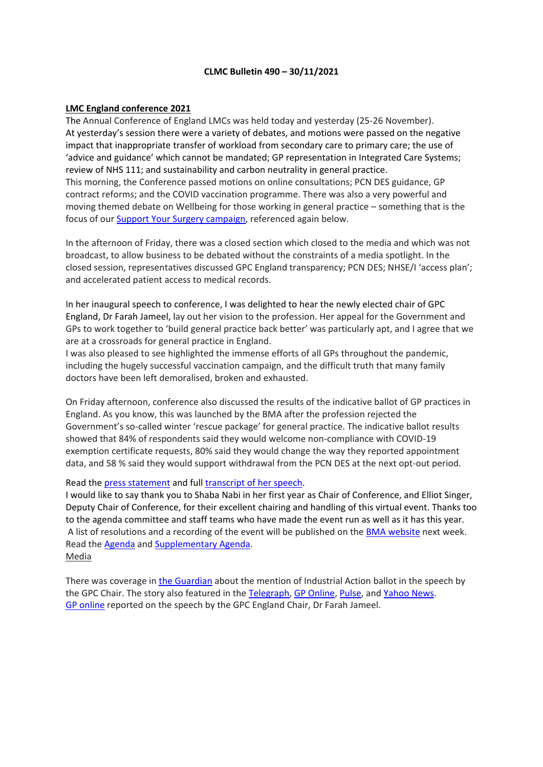### **CLMC Bulletin 490 – 30/11/2021**

#### **LMC England conference 2021**

The Annual Conference of England LMCs was held today and yesterday (25-26 November). At yesterday's session there were a variety of debates, and motions were passed on the negative impact that inappropriate transfer of workload from secondary care to primary care; the use of 'advice and guidance' which cannot be mandated; GP representation in Integrated Care Systems; review of NHS 111; and sustainability and carbon neutrality in general practice. This morning, the Conference passed motions on online consultations; PCN DES guidance, GP contract reforms; and the COVID vaccination programme. There was also a very powerful and moving themed debate on Wellbeing for those working in general practice – something that is the focus of our Support Your Surgery [campaign,](https://www.bma.org.uk/advice-and-support/covid-19/gp-practices/support-your-surgery) referenced again below.

In the afternoon of Friday, there was a closed section which closed to the media and which was not broadcast, to allow business to be debated without the constraints of a media spotlight. In the closed session, representatives discussed GPC England transparency; PCN DES; NHSE/I 'access plan'; and accelerated patient access to medical records.

In her inaugural speech to conference, I was delighted to hear the newly elected chair of GPC England, Dr Farah Jameel, lay out her vision to the profession. Her appeal for the Government and GPs to work together to 'build general practice back better' was particularly apt, and I agree that we are at a crossroads for general practice in England.

I was also pleased to see highlighted the immense efforts of all GPs throughout the pandemic, including the hugely successful vaccination campaign, and the difficult truth that many family doctors have been left demoralised, broken and exhausted.

On Friday afternoon, conference also discussed the results of the indicative ballot of GP practices in England. As you know, this was launched by the BMA after the profession rejected the Government's so-called winter 'rescue package' for general practice. The indicative ballot results showed that 84% of respondents said they would welcome non-compliance with COVID-19 exemption certificate requests, 80% said they would change the way they reported appointment data, and 58 % said they would support withdrawal from the PCN DES at the next opt-out period.

#### Read the press [statement](https://www.bma.org.uk/bma-media-centre/let-s-build-general-practice-back-better-dr-farah-jameel-delivers-inaugural-speech-as-chair-of-bma-s-england-gp-committee) and full [transcript](https://www.bma.org.uk/media/4831/bma_farah_jameel_lmc_england_conference_speech_november_2021.pdf) of her speech.

I would like to say thank you to Shaba Nabi in her first year as Chair of Conference, and Elliot Singer, Deputy Chair of Conference, for their excellent chairing and handling of this virtual event. Thanks too to the agenda committee and staff teams who have made the event run as well as it has this year. A list of resolutions and a recording of the event will be published on the **BMA [website](https://www.bma.org.uk/what-we-do/local-medical-committees)** next week. Read the [Agenda](https://www.bma.org.uk/media/4750/bma-lmc-england-conference-agenda-5-november-2021.pdf) and [Supplementary](https://www.bma.org.uk/media/4828/bma-lmc-conference-supplementary-agenda-24-nov-2021.pdf) Agenda. Media

There was coverage in the [Guardian](https://www.theguardian.com/society/2021/nov/25/gps-in-england-vote-in-favour-of-industrial-action) about the mention of Industrial Action ballot in the speech by the GPC Chair. The story also featured in the [Telegraph,](https://www.telegraph.co.uk/news/2021/11/25/gps-back-strike-action-face-to-face-appointments/) GP [Online,](https://www.gponline.com/half-gp-practices-prepared-pull-pcns-bma-ballot-shows/article/1734216) [Pulse,](https://www.pulsetoday.co.uk/news/breaking-news/over-half-of-gp-practices-willing-to-opt-out-of-pcn-des-suggests-bma-ballot/) and [Yahoo](https://uk.news.yahoo.com/gps-back-strike-action-over-214614931.html) News. GP [online](https://www.gponline.com/dr-farah-jameel-england-lmcs-conference-speech-full/article/1734204) reported on the speech by the GPC England Chair, Dr Farah Jameel.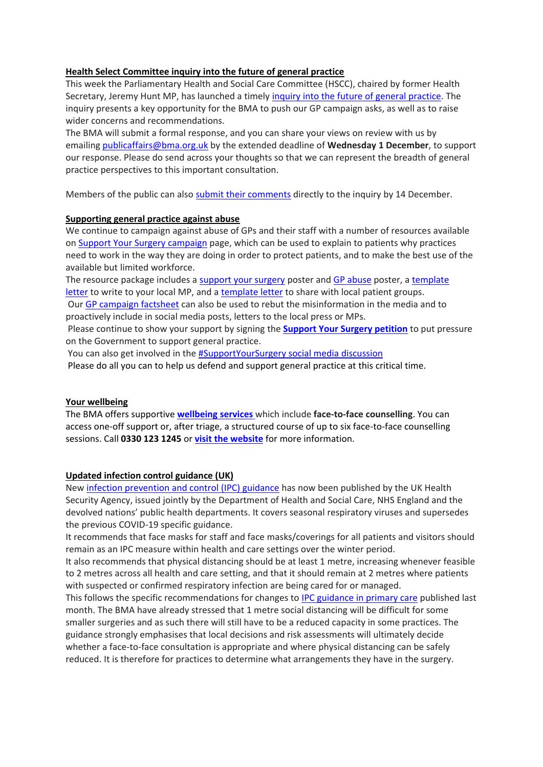# **Health Select Committee inquiry into the future of general practice**

This week the Parliamentary Health and Social Care Committee (HSCC), chaired by former Health Secretary, Jeremy Hunt MP, has launched a timely inquiry into the future of general [practice.](https://committees.parliament.uk/work/1624/) The inquiry presents a key opportunity for the BMA to push our GP campaign asks, as well as to raise wider concerns and recommendations.

The BMA will submit a formal response, and you can share your views on review with us by emailing [publicaffairs@bma.org.uk](mailto:publicaffairs@bma.org.uk) by the extended deadline of **Wednesday 1 December**, to support our response. Please do send across your thoughts so that we can represent the breadth of general practice perspectives to this important consultation.

Members of the public can also submit their [comments](https://committees.parliament.uk/submission/#/evidence/632/preamble) directly to the inquiry by 14 December.

# **Supporting general practice against abuse**

We continue to campaign against abuse of GPs and their staff with a number of resources available on Support Your Surgery [campaign](https://www.bma.org.uk/advice-and-support/covid-19/gp-practices/support-your-surgery) page, which can be used to explain to patients why practices need to work in the way they are doing in order to protect patients, and to make the best use of the available but limited workforce.

The resource package includes a [support](https://www.bma.org.uk/media/4454/bma-gp-access-poster-web-full-colour.pdf) your surgery poster and GP [abuse](https://www.bma.org.uk/media/4667/bma-gp-abuse-poster-full-colour-oct21.pdf) poster, a [template](https://bma-mail.org.uk/t/JVX-7JQ76-JCJOU4-4KLUIY-1/c.aspx) [letter](https://bma-mail.org.uk/t/JVX-7JQ76-JCJOU4-4KLUIY-1/c.aspx) to write to your local MP, and a [template](https://bma-mail.org.uk/t/JVX-7LCE9-JCJOU4-4LVA6J-1/c.aspx) letter to share with local patient groups. Our GP [campaign](https://www.bma.org.uk/media/4704/bma-nhsei-package-for-general-practice-factsheet-oct-21.pdf) factsheet can also be used to rebut the misinformation in the media and to proactively include in social media posts, letters to the local press or MPs.

Please continue to show your support by signing the **[Support](https://e-activist.com/page/88027/petition/1) Your Surgery petition** to put pressure on the Government to support general practice.

You can also get involved in the **[#SupportYourSurgery](https://twitter.com/hashtag/SupportYourSurgery?src=hashtag) social media discussion** 

Please do all you can to help us defend and support general practice at this critical time.

### **Your wellbeing**

The BMA offers supportive **[wellbeing](https://bma-mail.org.uk/t/JVX-7CV5G-JCJOU4-4FIBPR-1/c.aspx) services** which include **face-to-face counselling**. You can access one-off support or, after triage, a structured course of up to six face-to-face counselling sessions. Call **0330 123 1245** or **visit the [website](https://bma-mail.org.uk/t/JVX-7CV5G-JCJOU4-4FIBPT-1/c.aspx)** for more information.

# **Updated infection control guidance (UK)**

New infection [prevention](https://www.gov.uk/government/publications/wuhan-novel-coronavirus-infection-prevention-and-control/covid-19-guidance-for-maintaining-services-within-health-and-care-settings-infection-prevention-and-control-recommendations) and control (IPC) guidance has now been published by the UK Health Security Agency, issued jointly by the Department of Health and Social Care, NHS England and the devolved nations' public health departments. It covers seasonal respiratory viruses and supersedes the previous COVID-19 specific guidance.

It recommends that face masks for staff and face masks/coverings for all patients and visitors should remain as an IPC measure within health and care settings over the winter period.

It also recommends that physical distancing should be at least 1 metre, increasing whenever feasible to 2 metres across all health and care setting, and that it should remain at 2 metres where patients with suspected or confirmed respiratory infection are being cared for or managed.

This follows the specific recommendations for changes to IPC [guidance](https://www.gov.uk/government/publications/ukhsa-review-into-ipc-guidance/recommendation-4-a-more-flexible-approach-to-patient-consultations-in-primary-care-and-general-practice) in primary care published last month. The BMA have already stressed that 1 metre social distancing will be difficult for some smaller surgeries and as such there will still have to be a reduced capacity in some practices. The guidance strongly emphasises that local decisions and risk assessments will ultimately decide whether a face-to-face consultation is appropriate and where physical distancing can be safely reduced. It is therefore for practices to determine what arrangements they have in the surgery.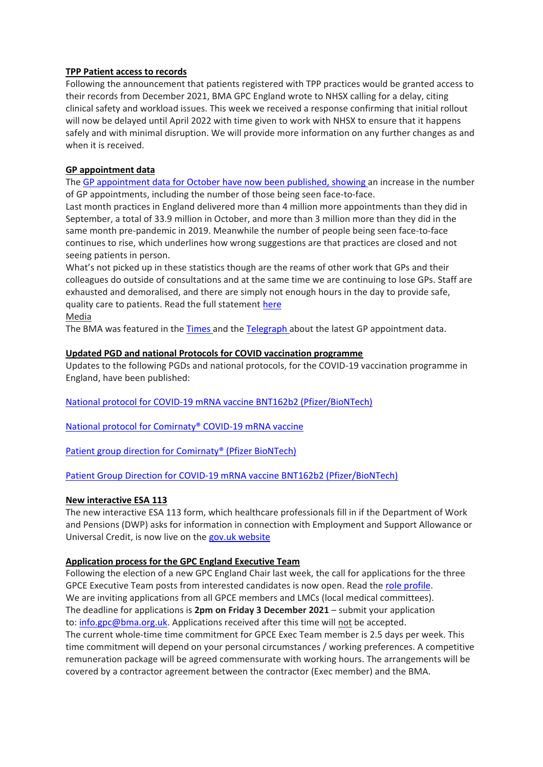## **TPP Patient access to records**

Following the announcement that patients registered with TPP practices would be granted access to their records from December 2021, BMA GPC England wrote to NHSX calling for a delay, citing clinical safety and workload issues. This week we received a response confirming that initial rollout will now be delayed until April 2022 with time given to work with NHSX to ensure that it happens safely and with minimal disruption. We will provide more information on any further changes as and when it is received.

# **GP appointment data**

The GP [appointment](https://digital.nhs.uk/data-and-information/publications/statistical/appointments-in-general-practice#latest-statistics) data for October have now been published, showing an increase in the number of GP appointments, including the number of those being seen face-to-face.

Last month practices in England delivered more than 4 million more appointments than they did in September, a total of 33.9 million in October, and more than 3 million more than they did in the same month pre-pandemic in 2019. Meanwhile the number of people being seen face-to-face continues to rise, which underlines how wrong suggestions are that practices are closed and not seeing patients in person.

What's not picked up in these statistics though are the reams of other work that GPs and their colleagues do outside of consultations and at the same time we are continuing to lose GPs. Staff are exhausted and demoralised, and there are simply not enough hours in the day to provide safe, quality care to patients. Read the full statement [here](https://www.bma.org.uk/bma-media-centre/continued-rise-in-appointments-shows-gps-are-doing-more-and-more-to-deliver-care-for-patients-says-bma)

Media

The BMA was featured in the [Times](https://www.thetimes.co.uk/article/ministers-get-wish-as-more-see-their-nhs-gp-for-in-person-appointments-6xf90nf7h) and the [Telegraph](https://www.telegraph.co.uk/news/2021/11/25/in-person-gp-appointments-see-significant-rise-amid-government) about the latest GP appointment data.

### **Updated PGD and national Protocols for COVID vaccination programme**

Updates to the following PGDs and national protocols, for the COVID-19 vaccination programme in England, have been published:

National protocol for COVID-19 mRNA vaccine BNT162b2 [\(Pfizer/BioNTech\)](https://www.gov.uk/government/publications/national-protocol-for-covid-19-mrna-vaccine-bnt162b2-pfizerbiontech)

National protocol for [Comirnaty®](https://www.gov.uk/government/publications/national-protocol-for-comirnaty-covid-19-mrna-vaccine) COVID-19 mRNA vaccine

Patient group direction for [Comirnaty®](https://www.england.nhs.uk/coronavirus/publication/patient-group-direction-for-comirnaty-pfizer-biontech/) (Pfizer BioNTech)

Patient Group Direction for COVID-19 mRNA vaccine BNT162b2 [\(Pfizer/BioNTech\)](https://www.england.nhs.uk/coronavirus/publication/patient-group-direction-for-covid-19-mrna-vaccine-bnt162b2-pfizer-biontech/)

### **New interactive ESA 113**

The new interactive ESA 113 form, which healthcare professionals fill in if the Department of Work and Pensions (DWP) asks for information in connection with Employment and Support Allowance or Universal Credit, is now live on the gov.uk [website](https://www.gov.uk/government/publications/esa113-interactive-for-use-by-healthcare-practitioners)

### **Application process for the GPC England Executive Team**

Following the election of a new GPC England Chair last week, the call for applications for the three GPCE Executive Team posts from interested candidates is now open. Read the role [profile.](https://www.bma.org.uk/media/4826/bma-gpce-executive-team-role-profile-nov-21.pdf) We are inviting applications from all GPCE members and LMCs (local medical committees). The deadline for applications is **2pm on Friday 3 December 2021** – submit your application to: [info.gpc@bma.org.uk.](mailto:info.gpc@bma.org.uk) Applications received after this time will not be accepted. The current whole-time time commitment for GPCE Exec Team member is 2.5 days per week. This time commitment will depend on your personal circumstances / working preferences. A competitive remuneration package will be agreed commensurate with working hours. The arrangements will be covered by a contractor agreement between the contractor (Exec member) and the BMA.